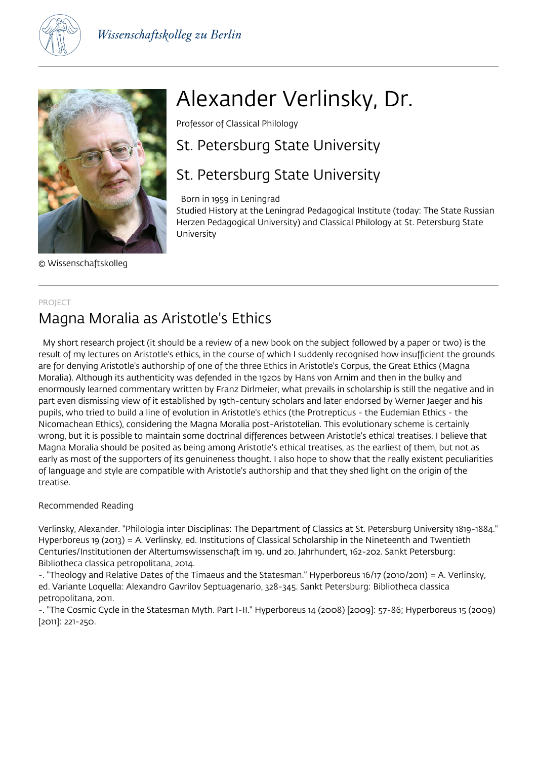



© Wissenschaftskolleg

# Alexander Verlinsky, Dr.

Professor of Classical Philology

# St. Petersburg State University

# St. Petersburg State University

Born in 1959 in Leningrad

Studied History at the Leningrad Pedagogical Institute (today: The State Russian Herzen Pedagogical University) and Classical Philology at St. Petersburg State University

#### PROJECT

## Magna Moralia as Aristotle's Ethics

 My short research project (it should be a review of a new book on the subject followed by a paper or two) is the result of my lectures on Aristotle's ethics, in the course of which I suddenly recognised how insufficient the grounds are for denying Aristotle's authorship of one of the three Ethics in Aristotle's Corpus, the Great Ethics (Magna Moralia). Although its authenticity was defended in the 1920s by Hans von Arnim and then in the bulky and enormously learned commentary written by Franz Dirlmeier, what prevails in scholarship is still the negative and in part even dismissing view of it established by 19th-century scholars and later endorsed by Werner Jaeger and his pupils, who tried to build a line of evolution in Aristotle's ethics (the Protrepticus - the Eudemian Ethics - the Nicomachean Ethics), considering the Magna Moralia post-Aristotelian. This evolutionary scheme is certainly wrong, but it is possible to maintain some doctrinal differences between Aristotle's ethical treatises. I believe that Magna Moralia should be posited as being among Aristotle's ethical treatises, as the earliest of them, but not as early as most of the supporters of its genuineness thought. I also hope to show that the really existent peculiarities of language and style are compatible with Aristotle's authorship and that they shed light on the origin of the treatise.

### Recommended Reading

Verlinsky, Alexander. "Philologia inter Disciplinas: The Department of Classics at St. Petersburg University 1819-1884." Hyperboreus 19 (2013) = A. Verlinsky, ed. Institutions of Classical Scholarship in the Nineteenth and Twentieth Centuries/Institutionen der Altertumswissenschaft im 19. und 20. Jahrhundert, 162-202. Sankt Petersburg: Bibliotheca classica petropolitana, 2014.

-. "Theology and Relative Dates of the Timaeus and the Statesman." Hyperboreus 16/17 (2010/2011) = A. Verlinsky, ed. Variante Loquella: Alexandro Gavrilov Septuagenario, 328-345. Sankt Petersburg: Bibliotheca classica petropolitana, 2011.

-. "The Cosmic Cycle in the Statesman Myth. Part I-II." Hyperboreus 14 (2008) [2009]: 57-86; Hyperboreus 15 (2009) [2011]: 221-250.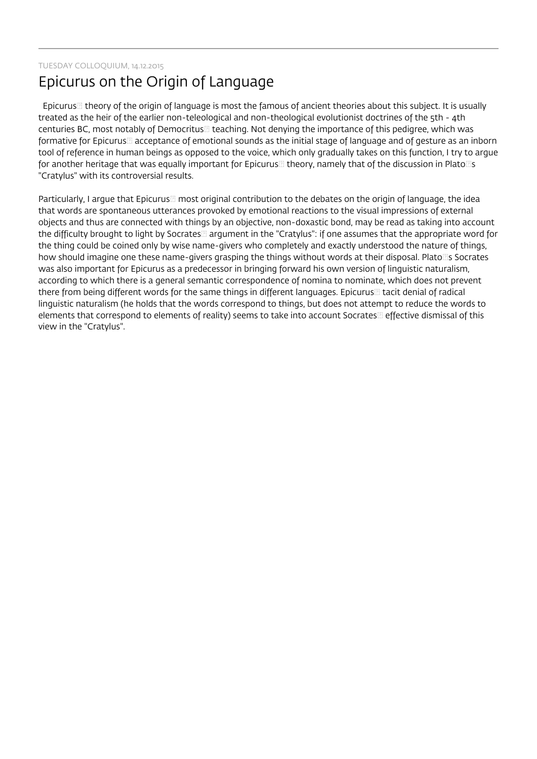TUESDAY COLLOQUIUM, 14.12.2015

# Epicurus on the Origin of Language

Epicurus theory of the origin of language is most the famous of ancient theories about this subject. It is usually treated as the heir of the earlier non-teleological and non-theological evolutionist doctrines of the 5th - 4th centuries BC, most notably of Democritus leaching. Not denying the importance of this pedigree, which was formative for Epicurus acceptance of emotional sounds as the initial stage of language and of gesture as an inborn tool of reference in human beings as opposed to the voice, which only gradually takes on this function, I try to argue for another heritage that was equally important for Epicurus  $\Box$  theory, namely that of the discussion in Plato $\Box$ s "Cratylus" with its controversial results.

Particularly, I argue that Epicurus most original contribution to the debates on the origin of language, the idea that words are spontaneous utterances provoked by emotional reactions to the visual impressions of external objects and thus are connected with things by an objective, non-doxastic bond, may be read as taking into account the difficulty brought to light by Socrates argument in the "Cratylus": if one assumes that the appropriate word for the thing could be coined only by wise name-givers who completely and exactly understood the nature of things, how should imagine one these name-givers grasping the things without words at their disposal. Plato s Socrates was also important for Epicurus as a predecessor in bringing forward his own version of linguistic naturalism, according to which there is a general semantic correspondence of nomina to nominate, which does not prevent there from being different words for the same things in different languages. Epicurus tacit denial of radical linguistic naturalism (he holds that the words correspond to things, but does not attempt to reduce the words to elements that correspond to elements of reality) seems to take into account Socrates effective dismissal of this view in the "Cratylus".